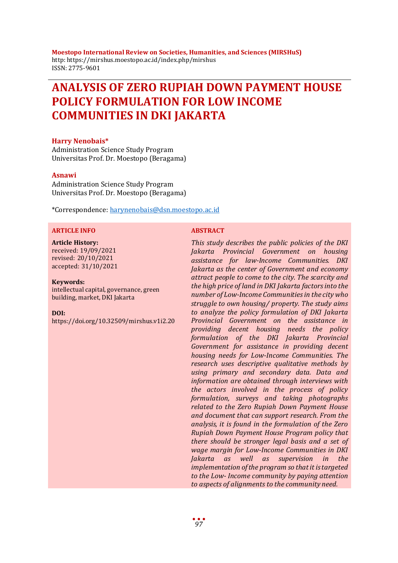**Moestopo International Review on Societies, Humanities, and Sciences (MIRSHuS)** http: https://mirshus.moestopo.ac.id/index.php/mirshus ISSN: 2775-9601

# **ANALYSIS OF ZERO RUPIAH DOWN PAYMENT HOUSE POLICY FORMULATION FOR LOW INCOME COMMUNITIES IN DKI JAKARTA**

### **Harry Nenobais\***

Administration Science Study Program Universitas Prof. Dr. Moestopo (Beragama)

### **Asnawi**

Administration Science Study Program Universitas Prof. Dr. Moestopo (Beragama)

\*Correspondence: [harynenobais@dsn.moestopo.ac.id](mailto:harynenobais@dsn.moestopo.ac.id)

#### **ARTICLE INFO ABSTRACT**

#### **Article History:**

received: 19/09/2021 revised: 20/10/2021 accepted: 31/10/2021

#### **Keywords:**

intellectual capital, governance, green building, market, DKI Jakarta

#### **DOI:**

https://doi.org/10.32509/mirshus.v1i2.20

*This study describes the public policies of the DKI Jakarta Provincial Government on housing assistance for law-Income Communities. DKI Jakarta as the center of Government and economy attract people to come to the city. The scarcity and the high price of land in DKI Jakarta factors into the number of Low-Income Communities in the city who struggle to own housing/ property. The study aims to analyze the policy formulation of DKI Jakarta Provincial Government on the assistance in providing decent housing needs the policy formulation of the DKI Jakarta Provincial Government for assistance in providing decent housing needs for Low-Income Communities. The research uses descriptive qualitative methods by using primary and secondary data. Data and information are obtained through interviews with the actors involved in the process of policy formulation, surveys and taking photographs related to the Zero Rupiah Down Payment House and document that can support research. From the analysis, it is found in the formulation of the Zero Rupiah Down Payment House Program policy that there should be stronger legal basis and a set of wage margin for Low-Income Communities in DKI Jakarta as well as supervision in the implementation of the program so that it is targeted to the Low- Income community by paying attention to aspects of alignments to the community need.*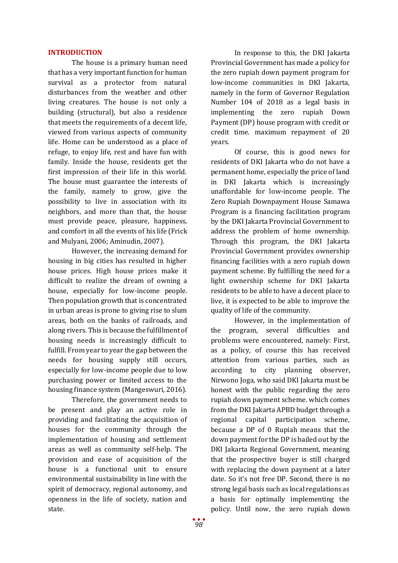## **INTRODUCTION**

The house is a primary human need that has a very important function for human survival as a protector from natural disturbances from the weather and other living creatures. The house is not only a building (structural), but also a residence that meets the requirements of a decent life, viewed from various aspects of community life. Home can be understood as a place of refuge, to enjoy life, rest and have fun with family. Inside the house, residents get the first impression of their life in this world. The house must guarantee the interests of the family, namely to grow, give the possibility to live in association with its neighbors, and more than that, the house must provide peace, pleasure, happiness, and comfort in all the events of his life (Frick and Mulyani, 2006; Aminudin, 2007).

However, the increasing demand for housing in big cities has resulted in higher house prices. High house prices make it difficult to realize the dream of owning a house, especially for low-income people. Then population growth that is concentrated in urban areas is prone to giving rise to slum areas, both on the banks of railroads, and along rivers. This is because the fulfillment of housing needs is increasingly difficult to fulfill. From year to year the gap between the needs for housing supply still occurs, especially for low-income people due to low purchasing power or limited access to the housing finance system (Mangeswuri, 2016).

Therefore, the government needs to be present and play an active role in providing and facilitating the acquisition of houses for the community through the implementation of housing and settlement areas as well as community self-help. The provision and ease of acquisition of the house is a functional unit to ensure environmental sustainability in line with the spirit of democracy, regional autonomy, and openness in the life of society, nation and state.

In response to this, the DKI Jakarta Provincial Government has made a policy for the zero rupiah down payment program for low-income communities in DKI Jakarta, namely in the form of Governor Regulation Number 104 of 2018 as a legal basis in implementing the zero rupiah Down Payment (DP) house program with credit or credit time. maximum repayment of 20 years.

Of course, this is good news for residents of DKI Jakarta who do not have a permanent home, especially the price of land in DKI Jakarta which is increasingly unaffordable for low-income people. The Zero Rupiah Downpayment House Samawa Program is a financing facilitation program by the DKI Jakarta Provincial Government to address the problem of home ownership. Through this program, the DKI Jakarta Provincial Government provides ownership financing facilities with a zero rupiah down payment scheme. By fulfilling the need for a light ownership scheme for DKI Jakarta residents to be able to have a decent place to live, it is expected to be able to improve the quality of life of the community.

However, in the implementation of the program, several difficulties and problems were encountered, namely: First, as a policy, of course this has received attention from various parties, such as according to city planning observer, Nirwono Joga, who said DKI Jakarta must be honest with the public regarding the zero rupiah down payment scheme. which comes from the DKI Jakarta APBD budget through a regional capital participation scheme, because a DP of 0 Rupiah means that the down payment for the DP is bailed out by the DKI Jakarta Regional Government, meaning that the prospective buyer is still charged with replacing the down payment at a later date. So it's not free DP. Second, there is no strong legal basis such as local regulations as a basis for optimally implementing the policy. Until now, the zero rupiah down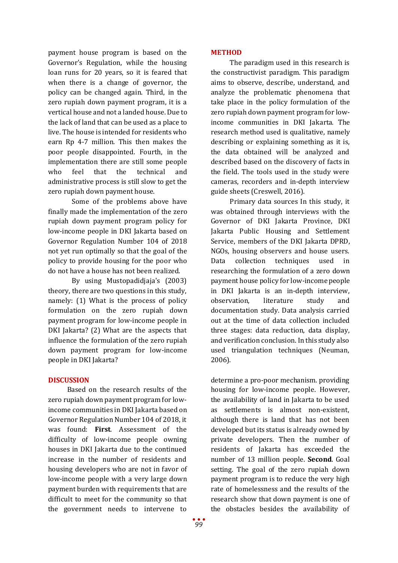payment house program is based on the Governor's Regulation, while the housing loan runs for 20 years, so it is feared that when there is a change of governor, the policy can be changed again. Third, in the zero rupiah down payment program, it is a vertical house and not a landed house. Due to the lack of land that can be used as a place to live. The house is intended for residents who earn Rp 4-7 million. This then makes the poor people disappointed. Fourth, in the implementation there are still some people who feel that the technical and administrative process is still slow to get the zero rupiah down payment house.

Some of the problems above have finally made the implementation of the zero rupiah down payment program policy for low-income people in DKI Jakarta based on Governor Regulation Number 104 of 2018 not yet run optimally so that the goal of the policy to provide housing for the poor who do not have a house has not been realized.

By using Mustopadidjaja's (2003) theory, there are two questions in this study, namely: (1) What is the process of policy formulation on the zero rupiah down payment program for low-income people in DKI Jakarta? (2) What are the aspects that influence the formulation of the zero rupiah down payment program for low-income people in DKI Jakarta?

# **DISCUSSION**

Based on the research results of the zero rupiah down payment program for lowincome communities in DKI Jakarta based on Governor Regulation Number 104 of 2018, it was found: **First**. Assessment of the difficulty of low-income people owning houses in DKI Jakarta due to the continued increase in the number of residents and housing developers who are not in favor of low-income people with a very large down payment burden with requirements that are difficult to meet for the community so that the government needs to intervene to

The paradigm used in this research is the constructivist paradigm. This paradigm aims to observe, describe, understand, and analyze the problematic phenomena that take place in the policy formulation of the zero rupiah down payment program for lowincome communities in DKI Jakarta. The research method used is qualitative, namely describing or explaining something as it is, the data obtained will be analyzed and described based on the discovery of facts in the field. The tools used in the study were cameras, recorders and in-depth interview guide sheets (Creswell, 2016).

Primary data sources In this study, it was obtained through interviews with the Governor of DKI Jakarta Province, DKI Jakarta Public Housing and Settlement Service, members of the DKI Jakarta DPRD, NGOs, housing observers and house users. Data collection techniques used in researching the formulation of a zero down payment house policy for low-income people in DKI Jakarta is an in-depth interview, observation, literature study and documentation study. Data analysis carried out at the time of data collection included three stages: data reduction, data display, and verification conclusion. In this study also used triangulation techniques (Neuman, 2006).

determine a pro-poor mechanism. providing housing for low-income people. However, the availability of land in Jakarta to be used as settlements is almost non-existent, although there is land that has not been developed but its status is already owned by private developers. Then the number of residents of Jakarta has exceeded the number of 13 million people. **Second**. Goal setting. The goal of the zero rupiah down payment program is to reduce the very high rate of homelessness and the results of the research show that down payment is one of the obstacles besides the availability of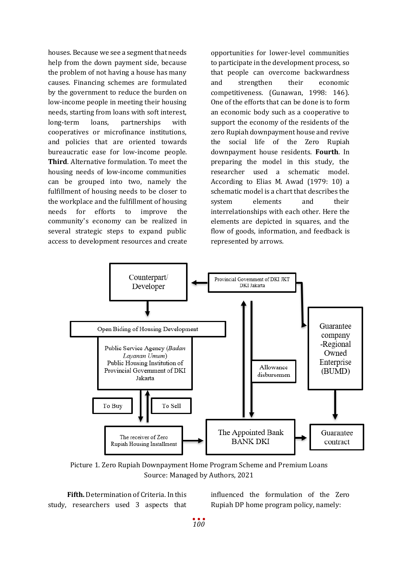houses. Because we see a segment that needs help from the down payment side, because the problem of not having a house has many causes. Financing schemes are formulated by the government to reduce the burden on low-income people in meeting their housing needs, starting from loans with soft interest, long-term loans, partnerships with cooperatives or microfinance institutions, and policies that are oriented towards bureaucratic ease for low-income people. **Third**. Alternative formulation. To meet the housing needs of low-income communities can be grouped into two, namely the fulfillment of housing needs to be closer to the workplace and the fulfillment of housing needs for efforts to improve the community's economy can be realized in several strategic steps to expand public access to development resources and create opportunities for lower-level communities to participate in the development process, so that people can overcome backwardness and strengthen their economic competitiveness. (Gunawan, 1998: 146). One of the efforts that can be done is to form an economic body such as a cooperative to support the economy of the residents of the zero Rupiah downpayment house and revive the social life of the Zero Rupiah downpayment house residents. **Fourth**. In preparing the model in this study, the researcher used a schematic model. According to Elias M. Awad (1979: 10) a schematic model is a chart that describes the system elements and their interrelationships with each other. Here the elements are depicted in squares, and the flow of goods, information, and feedback is represented by arrows.



Picture 1. Zero Rupiah Downpayment Home Program Scheme and Premium Loans Source: Managed by Authors, 2021

**Fifth.** Determination of Criteria. In this study, researchers used 3 aspects that

influenced the formulation of the Zero Rupiah DP home program policy, namely: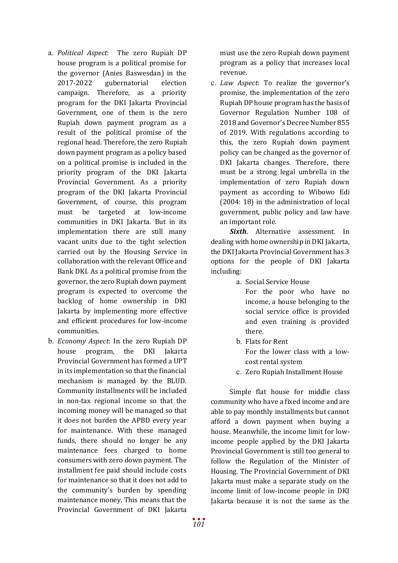- a. *Political Aspect*: The zero Rupiah DP house program is a political promise for the governor (Anies Baswesdan) in the 2017-2022 gubernatorial election campaign. Therefore, as a priority program for the DKI Jakarta Provincial Government, one of them is the zero Rupiah down payment program as a result of the political promise of the regional head. Therefore, the zero Rupiah down payment program as a policy based on a political promise is included in the priority program of the DKI Jakarta Provincial Government. As a priority program of the DKI Jakarta Provincial Government, of course, this program must be targeted at low-income communities in DKI Jakarta. But in its implementation there are still many vacant units due to the tight selection carried out by the Housing Service in collaboration with the relevant Office and Bank DKI. As a political promise from the governor, the zero Rupiah down payment program is expected to overcome the backlog of home ownership in DKI Jakarta by implementing more effective and efficient procedures for low-income communities.
- b. *Economy Aspect*: In the zero Rupiah DP house program, the DKI Jakarta Provincial Government has formed a UPT in its implementation so that the financial mechanism is managed by the BLUD. Community installments will be included in non-tax regional income so that the incoming money will be managed so that it does not burden the APBD every year for maintenance. With these managed funds, there should no longer be any maintenance fees charged to home consumers with zero down payment. The installment fee paid should include costs for maintenance so that it does not add to the community's burden by spending maintenance money. This means that the Provincial Government of DKI Jakarta

must use the zero Rupiah down payment program as a policy that increases local revenue.

c. *Law Aspect*: To realize the governor's promise, the implementation of the zero Rupiah DP house program has the basis of Governor Regulation Number 108 of 2018 and Governor's Decree Number 855 of 2019. With regulations according to this, the zero Rupiah down payment policy can be changed as the governor of DKI Jakarta changes. Therefore, there must be a strong legal umbrella in the implementation of zero Rupiah down payment as according to Wibowo Edi (2004: 18) in the administration of local government, public policy and law have an important role.

**Sixth**. Alternative assessment. In dealing with home ownership in DKI Jakarta, the DKI Jakarta Provincial Government has 3 options for the people of DKI Jakarta including:

- a. Social Service House
	- For the poor who have no income, a house belonging to the social service office is provided and even training is provided there.
- b. Flats for Rent For the lower class with a lowcost rental system
- c. Zero Rupiah Installment House

Simple flat house for middle class community who have a fixed income and are able to pay monthly installments but cannot afford a down payment when buying a house. Meanwhile, the income limit for lowincome people applied by the DKI Jakarta Provincial Government is still too general to follow the Regulation of the Minister of Housing. The Provincial Government of DKI Jakarta must make a separate study on the income limit of low-income people in DKI Jakarta because it is not the same as the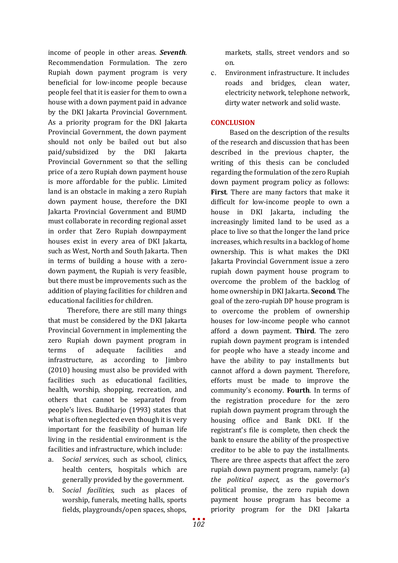income of people in other areas. *Seventh*. Recommendation Formulation. The zero Rupiah down payment program is very beneficial for low-income people because people feel that it is easier for them to own a house with a down payment paid in advance by the DKI Jakarta Provincial Government. As a priority program for the DKI Jakarta Provincial Government, the down payment should not only be bailed out but also paid/subsidized by the DKI Jakarta Provincial Government so that the selling price of a zero Rupiah down payment house is more affordable for the public. Limited land is an obstacle in making a zero Rupiah down payment house, therefore the DKI Jakarta Provincial Government and BUMD must collaborate in recording regional asset in order that Zero Rupiah downpayment houses exist in every area of DKI Jakarta, such as West, North and South Jakarta. Then in terms of building a house with a zerodown payment, the Rupiah is very feasible, but there must be improvements such as the addition of playing facilities for children and educational facilities for children.

Therefore, there are still many things that must be considered by the DKI Jakarta Provincial Government in implementing the zero Rupiah down payment program in terms of adequate facilities and infrastructure, as according to Jimbro (2010) housing must also be provided with facilities such as educational facilities, health, worship, shopping, recreation, and others that cannot be separated from people's lives. Budiharjo (1993) states that what is often neglected even though it is very important for the feasibility of human life living in the residential environment is the facilities and infrastructure, which include:

- a. S*ocial services*, such as school, clinics, health centers, hospitals which are generally provided by the government.
- b. S*ocial facilities*, such as places of worship, funerals, meeting halls, sports fields, playgrounds/open spaces, shops,

markets, stalls, street vendors and so on.

c. Environment infrastructure. It includes roads and bridges, clean water, electricity network, telephone network, dirty water network and solid waste.

# **CONCLUSION**

Based on the description of the results of the research and discussion that has been described in the previous chapter, the writing of this thesis can be concluded regarding the formulation of the zero Rupiah down payment program policy as follows: **First**. There are many factors that make it difficult for low-income people to own a house in DKI Jakarta, including the increasingly limited land to be used as a place to live so that the longer the land price increases, which results in a backlog of home ownership. This is what makes the DKI Jakarta Provincial Government issue a zero rupiah down payment house program to overcome the problem of the backlog of home ownership in DKI Jakarta. **Second**. The goal of the zero-rupiah DP house program is to overcome the problem of ownership houses for low-income people who cannot afford a down payment. **Third**. The zero rupiah down payment program is intended for people who have a steady income and have the ability to pay installments but cannot afford a down payment. Therefore, efforts must be made to improve the community's economy. **Fourth**. In terms of the registration procedure for the zero rupiah down payment program through the housing office and Bank DKI. If the registrant's file is complete, then check the bank to ensure the ability of the prospective creditor to be able to pay the installments. There are three aspects that affect the zero rupiah down payment program, namely: (a) *the political aspect*, as the governor's political promise, the zero rupiah down payment house program has become a priority program for the DKI Jakarta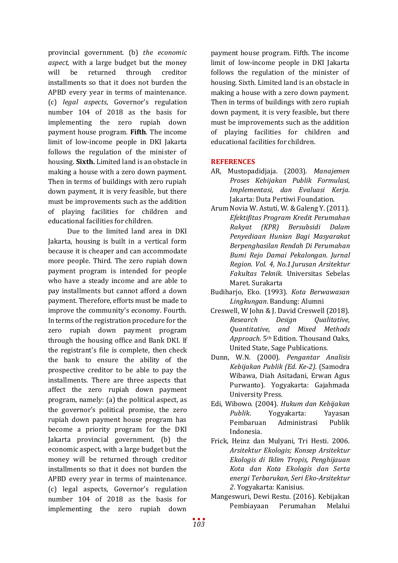provincial government. (b) *the economic aspect*, with a large budget but the money will be returned through creditor installments so that it does not burden the APBD every year in terms of maintenance. (c) *legal aspects*, Governor's regulation number 104 of 2018 as the basis for implementing the zero rupiah down payment house program. **Fifth**. The income limit of low-income people in DKI Jakarta follows the regulation of the minister of housing. **Sixth.** Limited land is an obstacle in making a house with a zero down payment. Then in terms of buildings with zero rupiah down payment, it is very feasible, but there must be improvements such as the addition of playing facilities for children and educational facilities for children.

Due to the limited land area in DKI Jakarta, housing is built in a vertical form because it is cheaper and can accommodate more people. Third. The zero rupiah down payment program is intended for people who have a steady income and are able to pay installments but cannot afford a down payment. Therefore, efforts must be made to improve the community's economy. Fourth. In terms of the registration procedure for the zero rupiah down payment program through the housing office and Bank DKI. If the registrant's file is complete, then check the bank to ensure the ability of the prospective creditor to be able to pay the installments. There are three aspects that affect the zero rupiah down payment program, namely: (a) the political aspect, as the governor's political promise, the zero rupiah down payment house program has become a priority program for the DKI Jakarta provincial government. (b) the economic aspect, with a large budget but the money will be returned through creditor installments so that it does not burden the APBD every year in terms of maintenance. (c) legal aspects, Governor's regulation number 104 of 2018 as the basis for implementing the zero rupiah down

payment house program. Fifth. The income limit of low-income people in DKI Jakarta follows the regulation of the minister of housing. Sixth. Limited land is an obstacle in making a house with a zero down payment. Then in terms of buildings with zero rupiah down payment, it is very feasible, but there must be improvements such as the addition of playing facilities for children and educational facilities for children.

# **REFERENCES**

- AR, Mustopadidjaja. (2003). *Manajemen Proses Kebijakan Publik Formulasi, Implementasi, dan Evaluasi Kerja*. Jakarta: Duta Pertiwi Foundation.
- Arum Novia W. Astuti, W. & Galeng Y. (2011). *Efektifitas Program Kredit Perumahan Rakyat (KPR) Bersubsidi Dalam Penyediaan Hunian Bagi Masyarakat Berpenghasilan Rendah Di Perumahan Bumi Rejo Damai Pekalongan. Jurnal Region*. *Vol. 4, No.1.Jurusan Arsitektur Fakultas Teknik*. Universitas Sebelas Maret. Surakarta
- Budiharjo, Eko. (1993). *Kota Berwawasan Lingkungan*. Bandung: Alumni
- Creswell, W John & J. David Creswell (2018). *Research Design Qualitative, Quantitative, and Mixed Methods Approach.* 5th Edition. Thousand Oaks, United State, Sage Publications.
- Dunn, W.N. (2000). *Pengantar Analisis Kebijakan Publik (Ed. Ke-2)*. (Samodra Wibawa, Diah Asitadani, Erwan Agus Purwanto). Yogyakarta: Gajahmada University Press.
- Edi, Wibowo. (2004). *Hukum dan Kebijakan Publik*. Yogyakarta: Yayasan **Administrasi** Indonesia.
- Frick, Heinz dan Mulyani, Tri Hesti. 2006. *Arsitektur Ekologis; Konsep Arsitektur Ekologis di Iklim Tropis, Penghijauan Kota dan Kota Ekologis dan Serta energi Terbarukan, Seri Eko-Arsitektur 2*. Yogyakarta: Kanisius.
- Mangeswuri, Dewi Restu. (2016). Kebijakan Pembiayaan